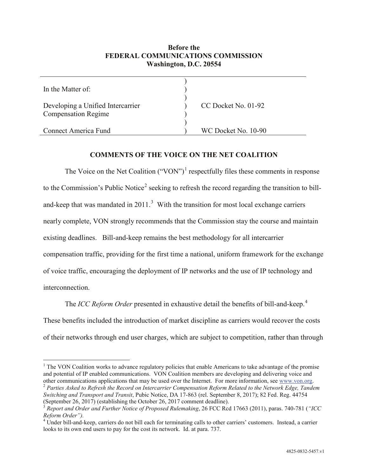## **Before the FEDERAL COMMUNICATIONS COMMISSION Washington, D.C. 20554**

| In the Matter of:                                               |                     |
|-----------------------------------------------------------------|---------------------|
| Developing a Unified Intercarrier<br><b>Compensation Regime</b> | CC Docket No. 01-92 |
| Connect America Fund                                            | WC Docket No. 10-90 |

## **COMMENTS OF THE VOICE ON THE NET COALITION**

The Voice on the Net Coalition  $("VON")^1$  $("VON")^1$  respectfully files these comments in response to the Commission's Public Notice<sup>[2](#page-0-1)</sup> seeking to refresh the record regarding the transition to billand-keep that was mandated in  $2011$ <sup>[3](#page-0-2)</sup> With the transition for most local exchange carriers nearly complete, VON strongly recommends that the Commission stay the course and maintain existing deadlines. Bill-and-keep remains the best methodology for all intercarrier compensation traffic, providing for the first time a national, uniform framework for the exchange of voice traffic, encouraging the deployment of IP networks and the use of IP technology and interconnection.

The *ICC Reform Order* presented in exhaustive detail the benefits of bill-and-keep.<sup>[4](#page-0-3)</sup> These benefits included the introduction of market discipline as carriers would recover the costs of their networks through end user charges, which are subject to competition, rather than through

<span id="page-0-1"></span>*Switching and Transport and Transit*, Pubic Notice, DA 17-863 (rel. September 8, 2017); 82 Fed. Reg. 44754 (September 26, 2017) (establishing the October 26, 2017 comment deadline).

<span id="page-0-0"></span><sup>&</sup>lt;sup>1</sup> The VON Coalition works to advance regulatory policies that enable Americans to take advantage of the promise and potential of IP enabled communications. VON Coalition members are developing and delivering voice and other communications applications that may be used over the Internet. For more information, see www.von.org.  $2$  Parties Asked to Refresh the Record on Intercarrier Compensation Reform Related to the Network Edge, Tandem

<span id="page-0-2"></span><sup>3</sup> *Report and Order and Further Notice of Proposed Rulemaking*, 26 FCC Rcd 17663 (2011), paras. 740-781 (*"ICC* 

<span id="page-0-3"></span><sup>&</sup>lt;sup>4</sup> Under bill-and-keep, carriers do not bill each for terminating calls to other carriers' customers. Instead, a carrier looks to its own end users to pay for the cost its network. Id. at para. 737.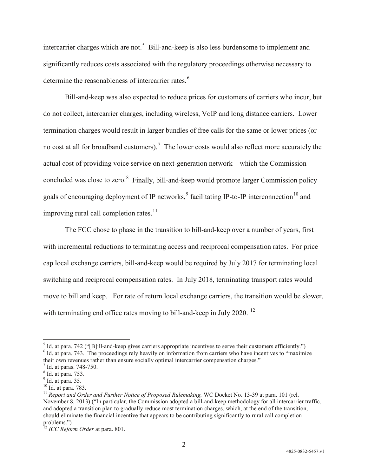intercarrier charges which are not.<sup>[5](#page-1-0)</sup> Bill-and-keep is also less burdensome to implement and significantly reduces costs associated with the regulatory proceedings otherwise necessary to determine the reasonableness of intercarrier rates.<sup>[6](#page-1-1)</sup>

Bill-and-keep was also expected to reduce prices for customers of carriers who incur, but do not collect, intercarrier charges, including wireless, VoIP and long distance carriers. Lower termination charges would result in larger bundles of free calls for the same or lower prices (or no cost at all for broadband customers).<sup>[7](#page-1-2)</sup> The lower costs would also reflect more accurately the actual cost of providing voice service on next-generation network – which the Commission concluded was close to zero.<sup>[8](#page-1-3)</sup> Finally, bill-and-keep would promote larger Commission policy goals of encouraging deployment of IP networks, $9^9$  $9^9$  facilitating IP-to-IP interconnection<sup>[10](#page-1-5)</sup> and improving rural call completion rates.<sup>[11](#page-1-6)</sup>

The FCC chose to phase in the transition to bill-and-keep over a number of years, first with incremental reductions to terminating access and reciprocal compensation rates. For price cap local exchange carriers, bill-and-keep would be required by July 2017 for terminating local switching and reciprocal compensation rates. In July 2018, terminating transport rates would move to bill and keep. For rate of return local exchange carriers, the transition would be slower, with terminating end office rates moving to bill-and-keep in July 2020.<sup>[12](#page-1-7)</sup>

2

<span id="page-1-0"></span> $<sup>5</sup>$  Id. at para. 742 ("[B]ill-and-keep gives carriers appropriate incentives to serve their customers efficiently.")<br><sup>6</sup> Id. at para. 743. The proceedings rely heavily on information from carriers who have incentive</sup>

<span id="page-1-1"></span>their own revenues rather than ensure socially optimal intercarrier compensation charges."<br>
<sup>7</sup> Id. at paras. 748-750.<br>
<sup>8</sup> Id. at para. 753.

<span id="page-1-2"></span>

<span id="page-1-3"></span>

<span id="page-1-4"></span> $\frac{9}{10}$  Id. at para. 35.<br> $\frac{10}{10}$  Id. at para. 783.

<span id="page-1-5"></span>

<span id="page-1-6"></span><sup>&</sup>lt;sup>11</sup> Report and Order and Further Notice of Proposed Rulemaking, WC Docket No. 13-39 at para. 101 (rel. November 8, 2013) ("In particular, the Commission adopted a bill-and-keep methodology for all intercarrier traffic, and adopted a transition plan to gradually reduce most termination charges, which, at the end of the transition, should eliminate the financial incentive that appears to be contributing significantly to rural call completion problems.")

<span id="page-1-7"></span><sup>12</sup> *ICC Reform Order* at para. 801.